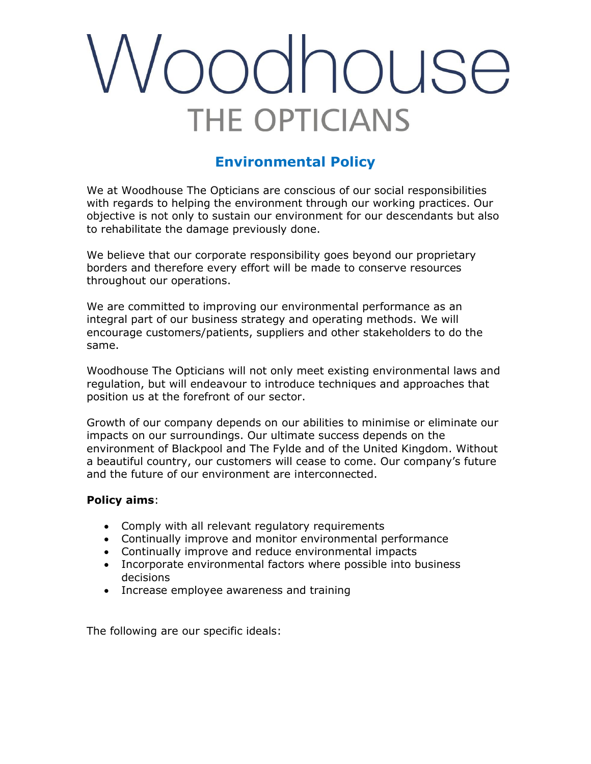## codhouse **HE OPTICIANS**

### **Environmental Policy**

We at Woodhouse The Opticians are conscious of our social responsibilities with regards to helping the environment through our working practices. Our objective is not only to sustain our environment for our descendants but also to rehabilitate the damage previously done.

We believe that our corporate responsibility goes beyond our proprietary borders and therefore every effort will be made to conserve resources throughout our operations.

We are committed to improving our environmental performance as an integral part of our business strategy and operating methods. We will encourage customers/patients, suppliers and other stakeholders to do the same.

Woodhouse The Opticians will not only meet existing environmental laws and regulation, but will endeavour to introduce techniques and approaches that position us at the forefront of our sector.

Growth of our company depends on our abilities to minimise or eliminate our impacts on our surroundings. Our ultimate success depends on the environment of Blackpool and The Fylde and of the United Kingdom. Without a beautiful country, our customers will cease to come. Our company's future and the future of our environment are interconnected.

#### **Policy aims**:

- Comply with all relevant regulatory requirements
- Continually improve and monitor environmental performance
- Continually improve and reduce environmental impacts
- Incorporate environmental factors where possible into business decisions
- Increase employee awareness and training

The following are our specific ideals: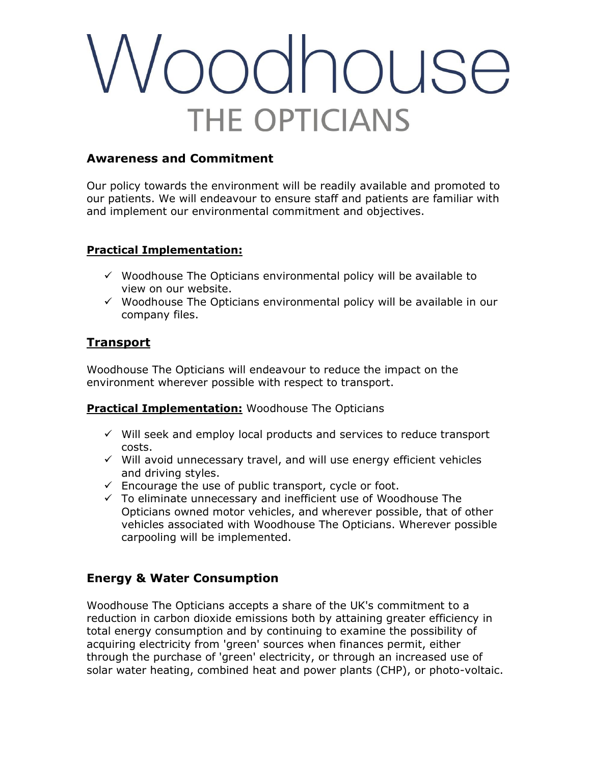# conduse **THE OPTICIANS**

### **Awareness and Commitment**

Our policy towards the environment will be readily available and promoted to our patients. We will endeavour to ensure staff and patients are familiar with and implement our environmental commitment and objectives.

### **Practical Implementation:**

- $\checkmark$  Woodhouse The Opticians environmental policy will be available to view on our website.
- $\checkmark$  Woodhouse The Opticians environmental policy will be available in our company files.

### **Transport**

Woodhouse The Opticians will endeavour to reduce the impact on the environment wherever possible with respect to transport.

### **Practical Implementation:** Woodhouse The Opticians

- ✓ Will seek and employ local products and services to reduce transport costs.
- $\checkmark$  Will avoid unnecessary travel, and will use energy efficient vehicles and driving styles.
- $\checkmark$  Encourage the use of public transport, cycle or foot.
- ✓ To eliminate unnecessary and inefficient use of Woodhouse The Opticians owned motor vehicles, and wherever possible, that of other vehicles associated with Woodhouse The Opticians. Wherever possible carpooling will be implemented.

### **Energy & Water Consumption**

Woodhouse The Opticians accepts a share of the UK's commitment to a reduction in carbon dioxide emissions both by attaining greater efficiency in total energy consumption and by continuing to examine the possibility of acquiring electricity from 'green' sources when finances permit, either through the purchase of 'green' electricity, or through an increased use of solar water heating, combined heat and power plants (CHP), or photo-voltaic.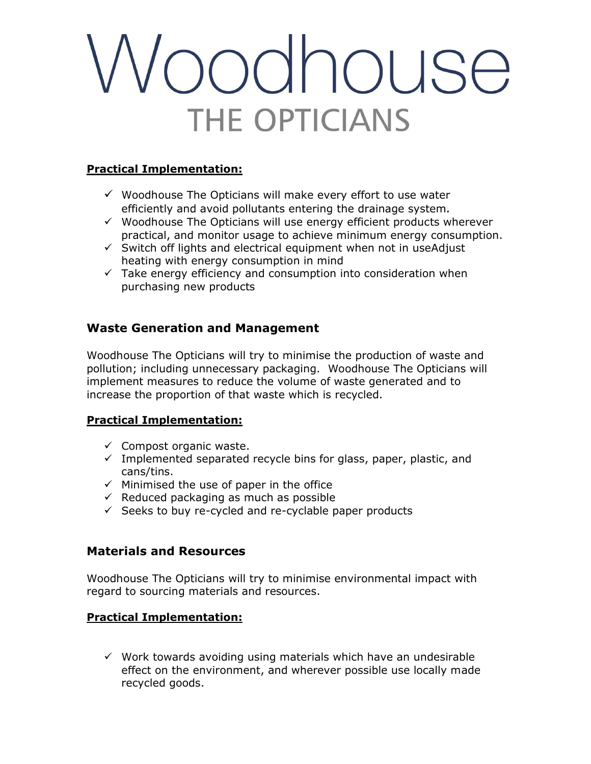# oodhouse **THE OPTICIANS**

#### **Practical Implementation:**

- $\checkmark$  Woodhouse The Opticians will make every effort to use water efficiently and avoid pollutants entering the drainage system*.*
- $\checkmark$  Woodhouse The Opticians will use energy efficient products wherever practical, and monitor usage to achieve minimum energy consumption.
- $\checkmark$  Switch off lights and electrical equipment when not in useAdjust heating with energy consumption in mind
- $\checkmark$  Take energy efficiency and consumption into consideration when purchasing new products

### **Waste Generation and Management**

Woodhouse The Opticians will try to minimise the production of waste and pollution; including unnecessary packaging. Woodhouse The Opticians will implement measures to reduce the volume of waste generated and to increase the proportion of that waste which is recycled.

#### **Practical Implementation:**

- $\checkmark$  Compost organic waste.
- $\checkmark$  Implemented separated recycle bins for glass, paper, plastic, and cans/tins.
- $\checkmark$  Minimised the use of paper in the office
- $\checkmark$  Reduced packaging as much as possible
- $\checkmark$  Seeks to buy re-cycled and re-cyclable paper products

### **Materials and Resources**

Woodhouse The Opticians will try to minimise environmental impact with regard to sourcing materials and resources.

### **Practical Implementation:**

 $\checkmark$  Work towards avoiding using materials which have an undesirable effect on the environment, and wherever possible use locally made recycled goods.